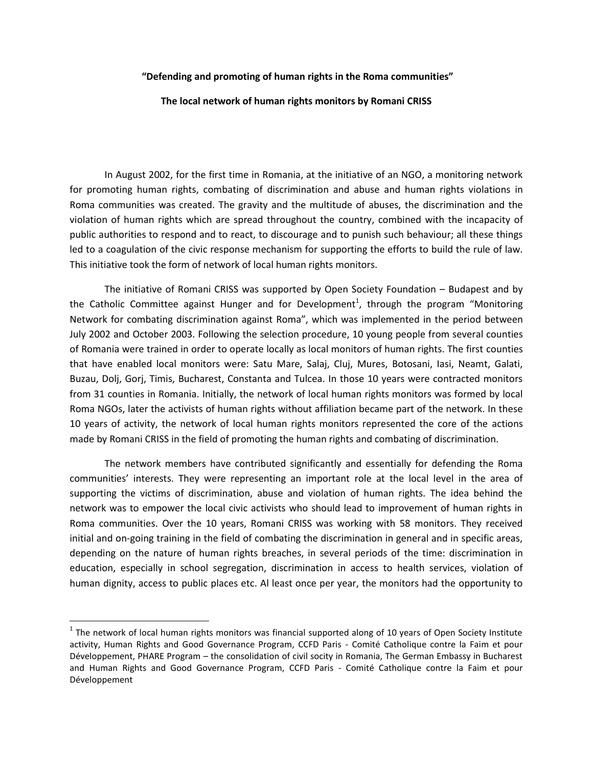## **"Defending and promoting of human rights in the Roma communities"**

## **The local network of human rights monitors by Romani CRISS**

In August 2002, for the first time in Romania, at the initiative of an NGO, a monitoring network for promoting human rights, combating of discrimination and abuse and human rights violations in Roma communities was created. The gravity and the multitude of abuses, the discrimination and the violation of human rights which are spread throughout the country, combined with the incapacity of public authorities to respond and to react, to discourage and to punish such behaviour; all these things led to a coagulation of the civic response mechanism for supporting the efforts to build the rule of law. This initiative took the form of network of local human rights monitors.

The initiative of Romani CRISS was supported by Open Society Foundation – Budapest and by the Catholic Committee against Hunger and for Development<sup>1</sup>, through the program "Monitoring Network for combating discrimination against Roma", which was implemented in the period between July 2002 and October 2003. Following the selection procedure, 10 young people from several counties of Romania were trained in order to operate locally as local monitors of human rights. The first counties that have enabled local monitors were: Satu Mare, Salaj, Cluj, Mures, Botosani, Iasi, Neamt, Galati, Buzau, Dolj, Gorj, Timis, Bucharest, Constanta and Tulcea. In those 10 years were contracted monitors from 31 counties in Romania. Initially, the network of local human rights monitors was formed by local Roma NGOs, later the activists of human rights without affiliation became part of the network. In these 10 years of activity, the network of local human rights monitors represented the core of the actions made by Romani CRISS in the field of promoting the human rights and combating of discrimination.

The network members have contributed significantly and essentially for defending the Roma communities' interests. They were representing an important role at the local level in the area of supporting the victims of discrimination, abuse and violation of human rights. The idea behind the network was to empower the local civic activists who should lead to improvement of human rights in Roma communities. Over the 10 years, Romani CRISS was working with 58 monitors. They received initial and on-going training in the field of combating the discrimination in general and in specific areas, depending on the nature of human rights breaches, in several periods of the time: discrimination in education, especially in school segregation, discrimination in access to health services, violation of human dignity, access to public places etc. Al least once per year, the monitors had the opportunity to

 $\overline{a}$ 

 $^1$  The network of local human rights monitors was financial supported along of 10 years of Open Society Institute activity, Human Rights and Good Governance Program, CCFD Paris - Comité Catholique contre la Faim et pour Développement, PHARE Program – the consolidation of civil socity in Romania, The German Embassy in Bucharest and Human Rights and Good Governance Program, CCFD Paris - Comité Catholique contre la Faim et pour Développement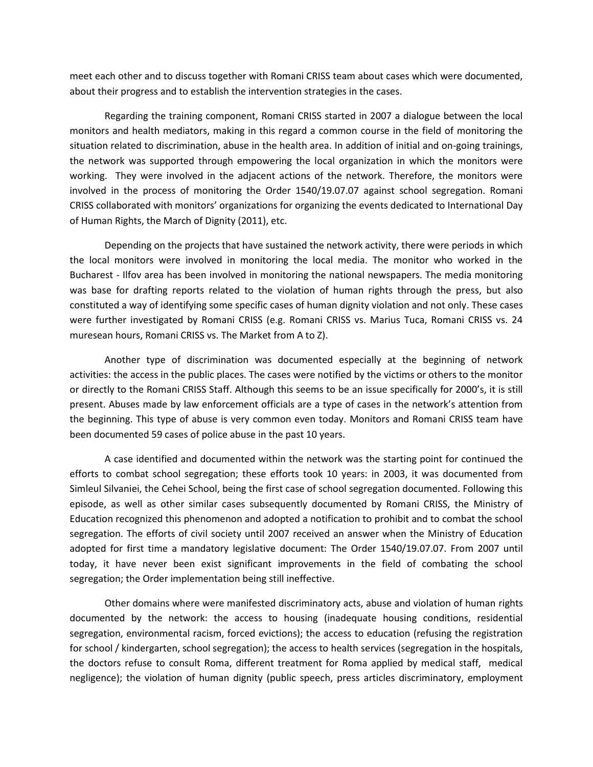meet each other and to discuss together with Romani CRISS team about cases which were documented, about their progress and to establish the intervention strategies in the cases.

Regarding the training component, Romani CRISS started in 2007 a dialogue between the local monitors and health mediators, making in this regard a common course in the field of monitoring the situation related to discrimination, abuse in the health area. In addition of initial and on-going trainings, the network was supported through empowering the local organization in which the monitors were working. They were involved in the adjacent actions of the network. Therefore, the monitors were involved in the process of monitoring the Order 1540/19.07.07 against school segregation. Romani CRISS collaborated with monitors' organizations for organizing the events dedicated to International Day of Human Rights, the March of Dignity (2011), etc.

Depending on the projects that have sustained the network activity, there were periods in which the local monitors were involved in monitoring the local media. The monitor who worked in the Bucharest - Ilfov area has been involved in monitoring the national newspapers. The media monitoring was base for drafting reports related to the violation of human rights through the press, but also constituted a way of identifying some specific cases of human dignity violation and not only. These cases were further investigated by Romani CRISS (e.g. Romani CRISS vs. Marius Tuca, Romani CRISS vs. 24 muresean hours, Romani CRISS vs. The Market from A to Z).

Another type of discrimination was documented especially at the beginning of network activities: the access in the public places. The cases were notified by the victims or others to the monitor or directly to the Romani CRISS Staff. Although this seems to be an issue specifically for 2000's, it is still present. Abuses made by law enforcement officials are a type of cases in the network's attention from the beginning. This type of abuse is very common even today. Monitors and Romani CRISS team have been documented 59 cases of police abuse in the past 10 years.

A case identified and documented within the network was the starting point for continued the efforts to combat school segregation; these efforts took 10 years: in 2003, it was documented from Simleul Silvaniei, the Cehei School, being the first case of school segregation documented. Following this episode, as well as other similar cases subsequently documented by Romani CRISS, the Ministry of Education recognized this phenomenon and adopted a notification to prohibit and to combat the school segregation. The efforts of civil society until 2007 received an answer when the Ministry of Education adopted for first time a mandatory legislative document: The Order 1540/19.07.07. From 2007 until today, it have never been exist significant improvements in the field of combating the school segregation; the Order implementation being still ineffective.

Other domains where were manifested discriminatory acts, abuse and violation of human rights documented by the network: the access to housing (inadequate housing conditions, residential segregation, environmental racism, forced evictions); the access to education (refusing the registration for school / kindergarten, school segregation); the access to health services (segregation in the hospitals, the doctors refuse to consult Roma, different treatment for Roma applied by medical staff, medical negligence); the violation of human dignity (public speech, press articles discriminatory, employment